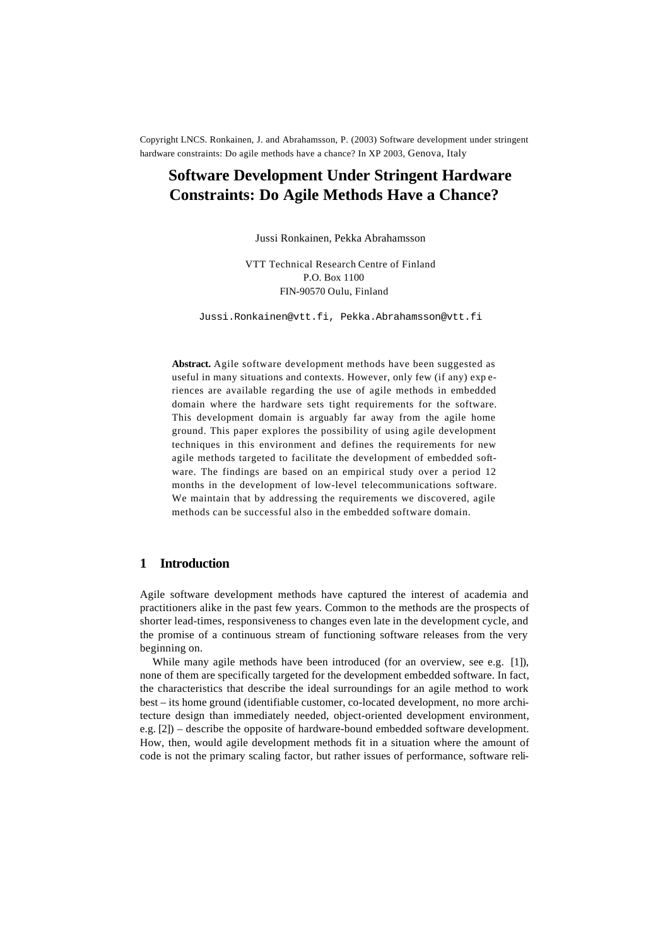# **Software Development Under Stringent Hardware Constraints: Do Agile Methods Have a Chance?**

Jussi Ronkainen, Pekka Abrahamsson

VTT Technical Research Centre of Finland P.O. Box 1100 FIN-90570 Oulu, Finland

Jussi.Ronkainen@vtt.fi, Pekka.Abrahamsson@vtt.fi

**Abstract.** Agile software development methods have been suggested as useful in many situations and contexts. However, only few (if any) exp eriences are available regarding the use of agile methods in embedded domain where the hardware sets tight requirements for the software. This development domain is arguably far away from the agile home ground. This paper explores the possibility of using agile development techniques in this environment and defines the requirements for new agile methods targeted to facilitate the development of embedded software. The findings are based on an empirical study over a period 12 months in the development of low-level telecommunications software. We maintain that by addressing the requirements we discovered, agile methods can be successful also in the embedded software domain.

### **1 Introduction**

Agile software development methods have captured the interest of academia and practitioners alike in the past few years. Common to the methods are the prospects of shorter lead-times, responsiveness to changes even late in the development cycle, and the promise of a continuous stream of functioning software releases from the very beginning on.

While many agile methods have been introduced (for an overview, see e.g. [1]), none of them are specifically targeted for the development embedded software. In fact, the characteristics that describe the ideal surroundings for an agile method to work best – its home ground (identifiable customer, co-located development, no more architecture design than immediately needed, object-oriented development environment, e.g. [2]) – describe the opposite of hardware-bound embedded software development. How, then, would agile development methods fit in a situation where the amount of code is not the primary scaling factor, but rather issues of performance, software reli-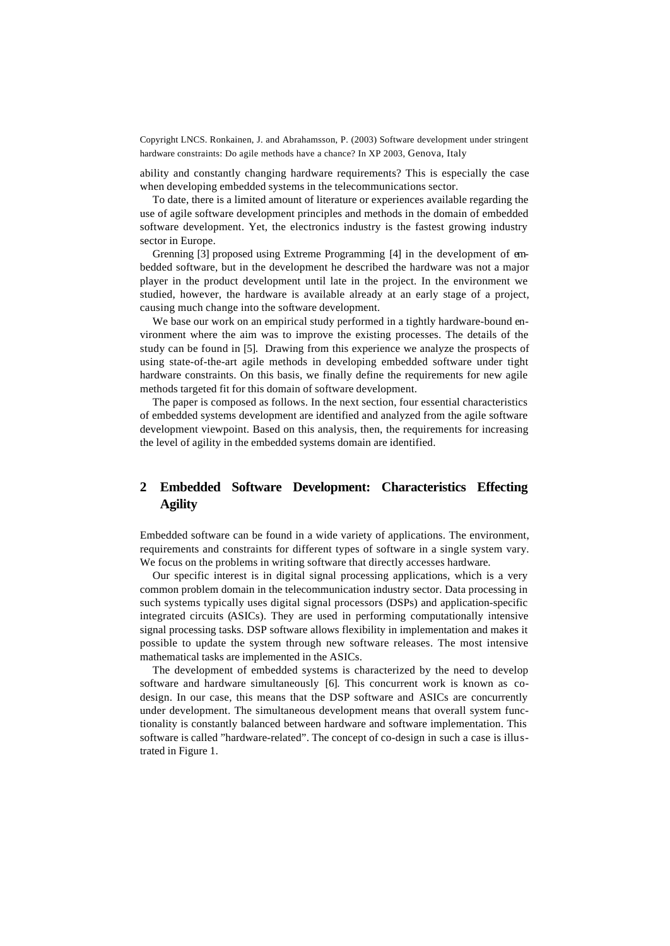ability and constantly changing hardware requirements? This is especially the case when developing embedded systems in the telecommunications sector.

To date, there is a limited amount of literature or experiences available regarding the use of agile software development principles and methods in the domain of embedded software development. Yet, the electronics industry is the fastest growing industry sector in Europe.

Grenning [3] proposed using Extreme Programming [4] in the development of embedded software, but in the development he described the hardware was not a major player in the product development until late in the project. In the environment we studied, however, the hardware is available already at an early stage of a project, causing much change into the software development.

We base our work on an empirical study performed in a tightly hardware-bound environment where the aim was to improve the existing processes. The details of the study can be found in [5]. Drawing from this experience we analyze the prospects of using state-of-the-art agile methods in developing embedded software under tight hardware constraints. On this basis, we finally define the requirements for new agile methods targeted fit for this domain of software development.

The paper is composed as follows. In the next section, four essential characteristics of embedded systems development are identified and analyzed from the agile software development viewpoint. Based on this analysis, then, the requirements for increasing the level of agility in the embedded systems domain are identified.

# **2 Embedded Software Development: Characteristics Effecting Agility**

Embedded software can be found in a wide variety of applications. The environment, requirements and constraints for different types of software in a single system vary. We focus on the problems in writing software that directly accesses hardware.

Our specific interest is in digital signal processing applications, which is a very common problem domain in the telecommunication industry sector. Data processing in such systems typically uses digital signal processors (DSPs) and application-specific integrated circuits (ASICs). They are used in performing computationally intensive signal processing tasks. DSP software allows flexibility in implementation and makes it possible to update the system through new software releases. The most intensive mathematical tasks are implemented in the ASICs.

The development of embedded systems is characterized by the need to develop software and hardware simultaneously [6]. This concurrent work is known as codesign. In our case, this means that the DSP software and ASICs are concurrently under development. The simultaneous development means that overall system functionality is constantly balanced between hardware and software implementation. This software is called "hardware-related". The concept of co-design in such a case is illustrated in Figure 1.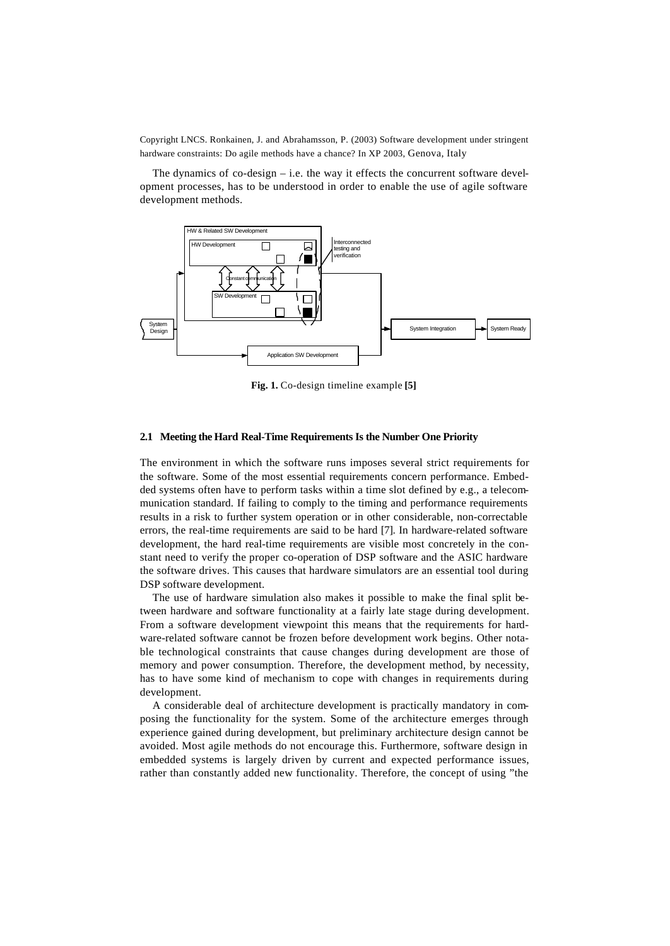The dynamics of co-design  $-$  i.e. the way it effects the concurrent software development processes, has to be understood in order to enable the use of agile software development methods.



**Fig. 1.** Co-design timeline example **[5]**

#### **2.1 Meeting the Hard Real-Time Requirements Is the Number One Priority**

The environment in which the software runs imposes several strict requirements for the software. Some of the most essential requirements concern performance. Embedded systems often have to perform tasks within a time slot defined by e.g., a telecommunication standard. If failing to comply to the timing and performance requirements results in a risk to further system operation or in other considerable, non-correctable errors, the real-time requirements are said to be hard [7]. In hardware-related software development, the hard real-time requirements are visible most concretely in the constant need to verify the proper co-operation of DSP software and the ASIC hardware the software drives. This causes that hardware simulators are an essential tool during DSP software development.

The use of hardware simulation also makes it possible to make the final split between hardware and software functionality at a fairly late stage during development. From a software development viewpoint this means that the requirements for hardware-related software cannot be frozen before development work begins. Other notable technological constraints that cause changes during development are those of memory and power consumption. Therefore, the development method, by necessity, has to have some kind of mechanism to cope with changes in requirements during development.

A considerable deal of architecture development is practically mandatory in composing the functionality for the system. Some of the architecture emerges through experience gained during development, but preliminary architecture design cannot be avoided. Most agile methods do not encourage this. Furthermore, software design in embedded systems is largely driven by current and expected performance issues, rather than constantly added new functionality. Therefore, the concept of using "the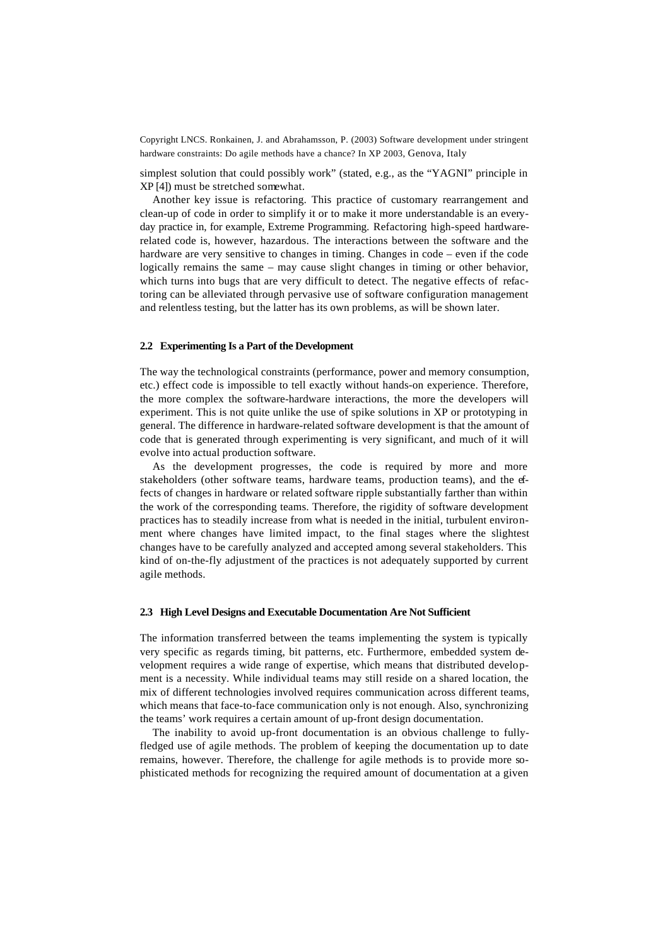simplest solution that could possibly work" (stated, e.g., as the "YAGNI" principle in XP [4]) must be stretched somewhat.

Another key issue is refactoring. This practice of customary rearrangement and clean-up of code in order to simplify it or to make it more understandable is an everyday practice in, for example, Extreme Programming. Refactoring high-speed hardwarerelated code is, however, hazardous. The interactions between the software and the hardware are very sensitive to changes in timing. Changes in code – even if the code logically remains the same – may cause slight changes in timing or other behavior, which turns into bugs that are very difficult to detect. The negative effects of refactoring can be alleviated through pervasive use of software configuration management and relentless testing, but the latter has its own problems, as will be shown later.

#### **2.2 Experimenting Is a Part of the Development**

The way the technological constraints (performance, power and memory consumption, etc.) effect code is impossible to tell exactly without hands-on experience. Therefore, the more complex the software-hardware interactions, the more the developers will experiment. This is not quite unlike the use of spike solutions in XP or prototyping in general. The difference in hardware-related software development is that the amount of code that is generated through experimenting is very significant, and much of it will evolve into actual production software.

As the development progresses, the code is required by more and more stakeholders (other software teams, hardware teams, production teams), and the effects of changes in hardware or related software ripple substantially farther than within the work of the corresponding teams. Therefore, the rigidity of software development practices has to steadily increase from what is needed in the initial, turbulent environment where changes have limited impact, to the final stages where the slightest changes have to be carefully analyzed and accepted among several stakeholders. This kind of on-the-fly adjustment of the practices is not adequately supported by current agile methods.

#### **2.3 High Level Designs and Executable Documentation Are Not Sufficient**

The information transferred between the teams implementing the system is typically very specific as regards timing, bit patterns, etc. Furthermore, embedded system development requires a wide range of expertise, which means that distributed development is a necessity. While individual teams may still reside on a shared location, the mix of different technologies involved requires communication across different teams, which means that face-to-face communication only is not enough. Also, synchronizing the teams' work requires a certain amount of up-front design documentation.

The inability to avoid up-front documentation is an obvious challenge to fullyfledged use of agile methods. The problem of keeping the documentation up to date remains, however. Therefore, the challenge for agile methods is to provide more sophisticated methods for recognizing the required amount of documentation at a given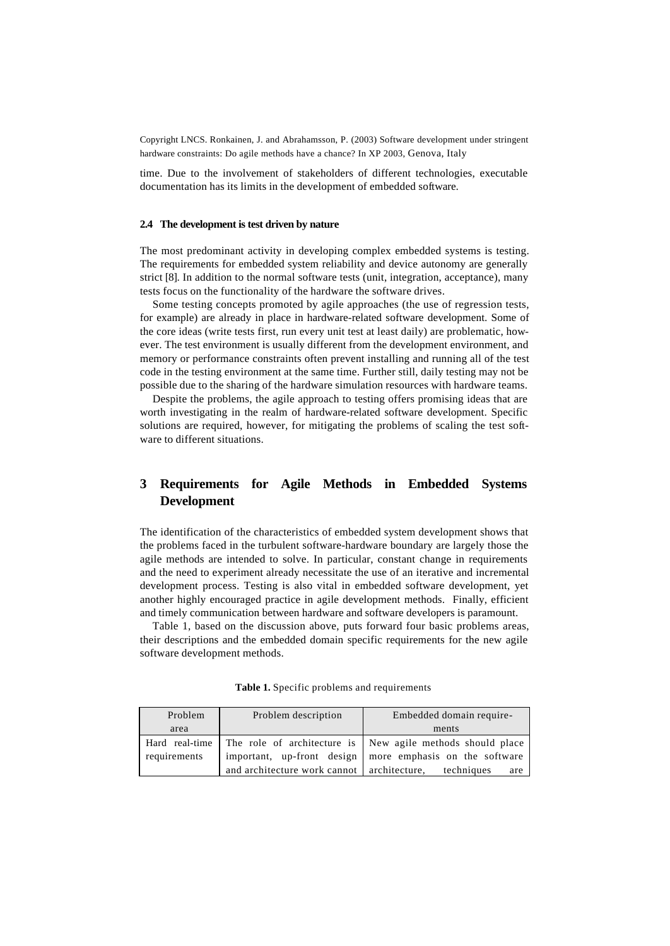time. Due to the involvement of stakeholders of different technologies, executable documentation has its limits in the development of embedded software.

#### **2.4 The development is test driven by nature**

The most predominant activity in developing complex embedded systems is testing. The requirements for embedded system reliability and device autonomy are generally strict [8]. In addition to the normal software tests (unit, integration, acceptance), many tests focus on the functionality of the hardware the software drives.

Some testing concepts promoted by agile approaches (the use of regression tests, for example) are already in place in hardware-related software development. Some of the core ideas (write tests first, run every unit test at least daily) are problematic, however. The test environment is usually different from the development environment, and memory or performance constraints often prevent installing and running all of the test code in the testing environment at the same time. Further still, daily testing may not be possible due to the sharing of the hardware simulation resources with hardware teams.

Despite the problems, the agile approach to testing offers promising ideas that are worth investigating in the realm of hardware-related software development. Specific solutions are required, however, for mitigating the problems of scaling the test software to different situations.

# **3 Requirements for Agile Methods in Embedded Systems Development**

The identification of the characteristics of embedded system development shows that the problems faced in the turbulent software-hardware boundary are largely those the agile methods are intended to solve. In particular, constant change in requirements and the need to experiment already necessitate the use of an iterative and incremental development process. Testing is also vital in embedded software development, yet another highly encouraged practice in agile development methods. Finally, efficient and timely communication between hardware and software developers is paramount.

Table 1, based on the discussion above, puts forward four basic problems areas, their descriptions and the embedded domain specific requirements for the new agile software development methods.

|  |  | <b>Table 1.</b> Specific problems and requirements |
|--|--|----------------------------------------------------|
|--|--|----------------------------------------------------|

| Problem      | Problem description                        | Embedded domain require-                                                  |
|--------------|--------------------------------------------|---------------------------------------------------------------------------|
| area         |                                            | ments                                                                     |
|              |                                            | Hard real-time The role of architecture is New agile methods should place |
| requirements |                                            | important, up-front design   more emphasis on the software                |
|              | and architecture work cannot architecture, | techniques<br>are                                                         |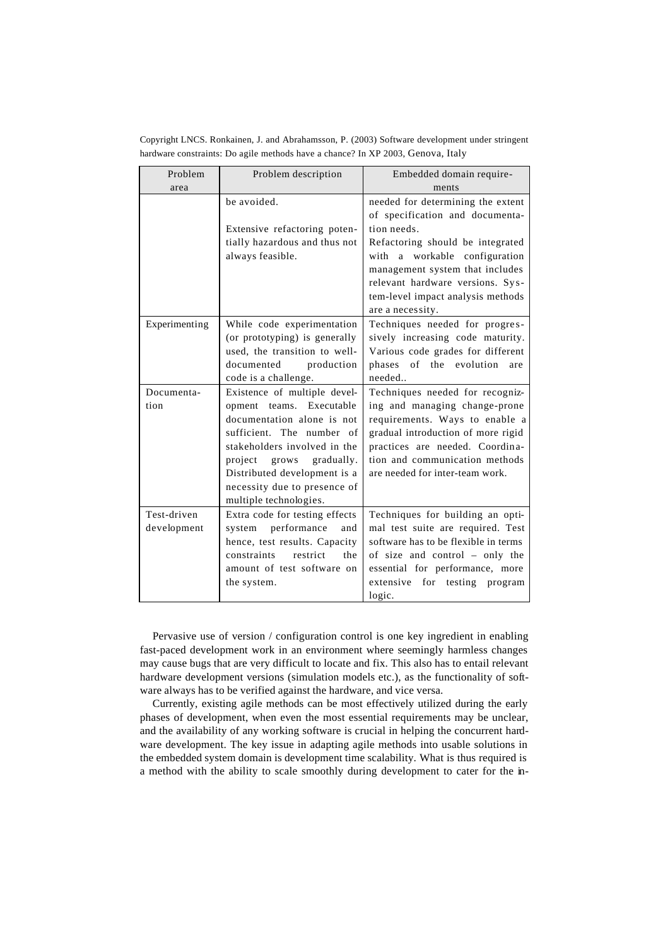| Problem                    | Problem description                                                                                                                                                                                                                                                             | Embedded domain require-                                                                                                                                                                                                                         |
|----------------------------|---------------------------------------------------------------------------------------------------------------------------------------------------------------------------------------------------------------------------------------------------------------------------------|--------------------------------------------------------------------------------------------------------------------------------------------------------------------------------------------------------------------------------------------------|
| area                       |                                                                                                                                                                                                                                                                                 | ments                                                                                                                                                                                                                                            |
|                            | be avoided.<br>Extensive refactoring poten-<br>tially hazardous and thus not<br>always feasible.                                                                                                                                                                                | needed for determining the extent<br>of specification and documenta-<br>tion needs.<br>Refactoring should be integrated<br>with a workable<br>configuration<br>management system that includes<br>relevant hardware versions. Sys-               |
|                            |                                                                                                                                                                                                                                                                                 | tem-level impact analysis methods<br>are a necessity.                                                                                                                                                                                            |
| Experimenting              | While code experimentation<br>(or prototyping) is generally<br>used, the transition to well-<br>production<br>documented<br>code is a challenge.                                                                                                                                | Techniques needed for progres-<br>sively increasing code maturity.<br>Various code grades for different<br>phases of the<br>evolution<br>are<br>needed                                                                                           |
| Documenta-<br>tion         | Existence of multiple devel-<br>opment teams. Executable<br>documentation alone is not<br>sufficient. The number of<br>stakeholders involved in the<br>gradually.<br>project<br>grows<br>Distributed development is a<br>necessity due to presence of<br>multiple technologies. | Techniques needed for recogniz-<br>ing and managing change-prone<br>requirements. Ways to enable a<br>gradual introduction of more rigid<br>practices are needed. Coordina-<br>tion and communication methods<br>are needed for inter-team work. |
| Test-driven<br>development | Extra code for testing effects<br>performance<br>system<br>and<br>hence, test results. Capacity<br>constraints<br>restrict<br>the<br>amount of test software on<br>the system.                                                                                                  | Techniques for building an opti-<br>mal test suite are required. Test<br>software has to be flexible in terms<br>of size and control - only the<br>essential for performance, more<br>for<br>testing program<br>extensive<br>logic.              |

Copyright LNCS. Ronkainen, J. and Abrahamsson, P. (2003) Software development under stringent hardware constraints: Do agile methods have a chance? In XP 2003, Genova, Italy

Pervasive use of version / configuration control is one key ingredient in enabling fast-paced development work in an environment where seemingly harmless changes may cause bugs that are very difficult to locate and fix. This also has to entail relevant hardware development versions (simulation models etc.), as the functionality of software always has to be verified against the hardware, and vice versa.

Currently, existing agile methods can be most effectively utilized during the early phases of development, when even the most essential requirements may be unclear, and the availability of any working software is crucial in helping the concurrent hardware development. The key issue in adapting agile methods into usable solutions in the embedded system domain is development time scalability. What is thus required is a method with the ability to scale smoothly during development to cater for the in-